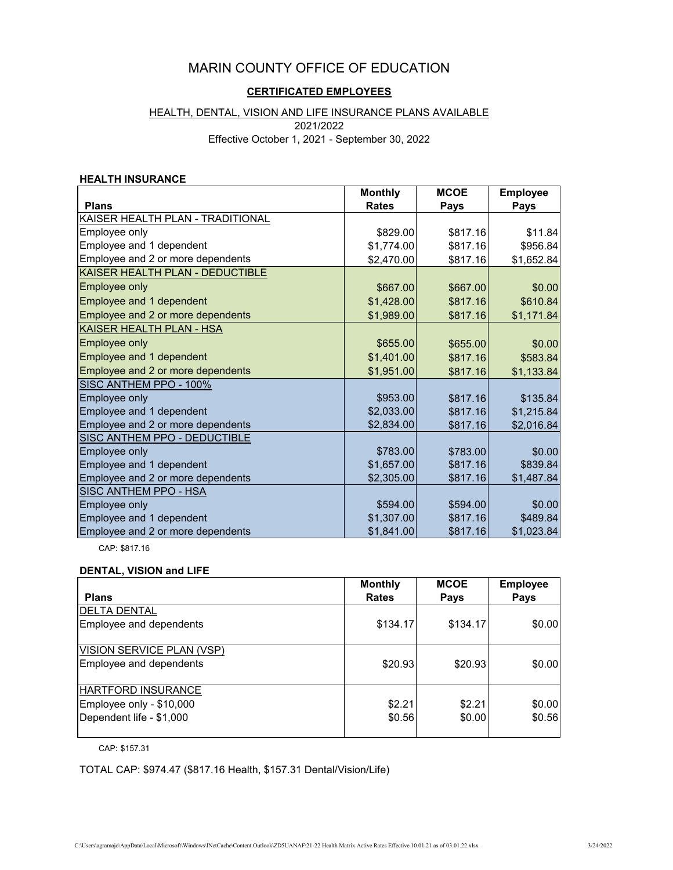# MARIN COUNTY OFFICE OF EDUCATION

# **CERTIFICATED EMPLOYEES**

## HEALTH, DENTAL, VISION AND LIFE INSURANCE PLANS AVAILABLE

2021/2022

Effective October 1, 2021 - September 30, 2022

#### **HEALTH INSURANCE**

|                                   | <b>Monthly</b> | <b>MCOE</b> | <b>Employee</b> |
|-----------------------------------|----------------|-------------|-----------------|
| <b>Plans</b>                      | <b>Rates</b>   | Pays        | Pays            |
| KAISER HEALTH PLAN - TRADITIONAL  |                |             |                 |
| Employee only                     | \$829.00       | \$817.16    | \$11.84         |
| Employee and 1 dependent          | \$1,774.00     | \$817.16    | \$956.84        |
| Employee and 2 or more dependents | \$2,470.00     | \$817.16    | \$1,652.84      |
| KAISER HEALTH PLAN - DEDUCTIBLE   |                |             |                 |
| Employee only                     | \$667.00       | \$667.00    | \$0.00          |
| Employee and 1 dependent          | \$1,428.00     | \$817.16    | \$610.84        |
| Employee and 2 or more dependents | \$1,989.00     | \$817.16    | \$1,171.84      |
| <b>KAISER HEALTH PLAN - HSA</b>   |                |             |                 |
| Employee only                     | \$655.00       | \$655.00    | \$0.00          |
| Employee and 1 dependent          | \$1,401.00     | \$817.16    | \$583.84        |
| Employee and 2 or more dependents | \$1,951.00     | \$817.16    | \$1,133.84      |
| SISC ANTHEM PPO - 100%            |                |             |                 |
| Employee only                     | \$953.00       | \$817.16    | \$135.84        |
| Employee and 1 dependent          | \$2,033.00     | \$817.16    | \$1,215.84      |
| Employee and 2 or more dependents | \$2,834.00     | \$817.16    | \$2,016.84      |
| SISC ANTHEM PPO - DEDUCTIBLE      |                |             |                 |
| Employee only                     | \$783.00       | \$783.00    | \$0.00          |
| Employee and 1 dependent          | \$1,657.00     | \$817.16    | \$839.84        |
| Employee and 2 or more dependents | \$2,305.00     | \$817.16    | \$1,487.84      |
| <b>SISC ANTHEM PPO - HSA</b>      |                |             |                 |
| Employee only                     | \$594.00       | \$594.00    | \$0.00          |
| Employee and 1 dependent          | \$1,307.00     | \$817.16    | \$489.84        |
| Employee and 2 or more dependents | \$1,841.00     | \$817.16    | \$1,023.84      |

CAP: \$817.16

#### **DENTAL, VISION and LIFE**

| <b>Plans</b>                                                                      | <b>Monthly</b><br><b>Rates</b> | <b>MCOE</b><br><b>Pays</b> | <b>Employee</b><br>Pays |
|-----------------------------------------------------------------------------------|--------------------------------|----------------------------|-------------------------|
| <b>DELTA DENTAL</b><br>Employee and dependents                                    | \$134.17                       | \$134.17                   | \$0.00                  |
| VISION SERVICE PLAN (VSP)<br>Employee and dependents                              | \$20.93                        | \$20.93                    | \$0.00                  |
| <b>HARTFORD INSURANCE</b><br>Employee only - \$10,000<br>Dependent life - \$1,000 | \$2.21<br>\$0.56               | \$2.21<br>\$0.00           | \$0.00<br>\$0.56        |

CAP: \$157.31

TOTAL CAP: \$974.47 (\$817.16 Health, \$157.31 Dental/Vision/Life)